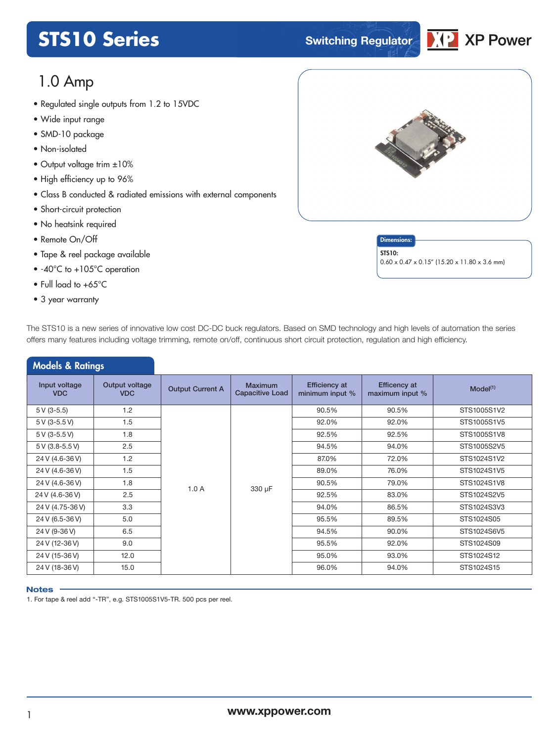# **STS10 Series STS10 Series Switching Regulator**



# 1.0 Amp

- Regulated single outputs from 1.2 to 1*5*VDC<br>• Wide input range
- Wide input range
- SMD-10 package
- Non-isolated
- Output voltage trim ±10%
- High efficiency up to 96%
- Class B conducted & radiated emissions with external components
- Short-circuit protection
- No heatsink required
- Remote On/Off
- Tape & reel package available
- -40°C to +105°C operation
- Full load to +65°C
- 3 year warranty



**Dimensions** STS10: 0.60 x 0.47 x 0.15" (15.20 x 11.80 x 3.6 mm)

| The STS10 is a new series of innovative low cost DC-DC buck regulators. Based on SMD technology and high levels of automation the series |
|------------------------------------------------------------------------------------------------------------------------------------------|
| offers many features including voltage trimming, remote on/off, continuous short circuit protection, regulation and high efficiency.     |

| <b>Models &amp; Ratings</b> |                              |                         |                                          |                                         |                                        |                      |  |
|-----------------------------|------------------------------|-------------------------|------------------------------------------|-----------------------------------------|----------------------------------------|----------------------|--|
| Input voltage<br><b>VDC</b> | Output voltage<br><b>VDC</b> | <b>Output Current A</b> | <b>Maximum</b><br><b>Capacitive Load</b> | <b>Efficiency at</b><br>minimum input % | <b>Efficency at</b><br>maximum input % | Model <sup>(1)</sup> |  |
| $5V(3-5.5)$                 | 1.2                          |                         |                                          | 90.5%                                   | 90.5%                                  | STS1005S1V2          |  |
| 5 V (3-5.5 V)               | 1.5                          |                         |                                          | 92.0%                                   | 92.0%                                  | STS1005S1V5          |  |
| 5 V (3-5.5 V)               | 1.8                          |                         |                                          | 92.5%                                   | 92.5%                                  | STS1005S1V8          |  |
| 5 V (3.8-5.5 V)             | 2.5                          |                         |                                          | 94.5%                                   | 94.0%                                  | STS1005S2V5          |  |
| 24 V (4.6-36 V)             | 1.2                          |                         |                                          | 87.0%                                   | 72.0%                                  | STS1024S1V2          |  |
| 24 V (4.6-36 V)             | 1.5                          |                         |                                          | 89.0%                                   | 76.0%                                  | STS1024S1V5          |  |
| 24 V (4.6-36 V)             | 1.8                          | 1.0A                    |                                          | 90.5%                                   | 79.0%                                  | STS1024S1V8          |  |
| 24 V (4.6-36 V)             | 2.5                          |                         | 330 µF                                   | 92.5%                                   | 83.0%                                  | STS1024S2V5          |  |
| 24 V (4.75-36 V)            | 3.3                          |                         |                                          | 94.0%                                   | 86.5%                                  | STS1024S3V3          |  |
| 24 V (6.5-36 V)             | 5.0                          |                         |                                          | 95.5%                                   | 89.5%                                  | STS1024S05           |  |
| 24 V (9-36 V)               | 6.5                          |                         |                                          | 94.5%                                   | 90.0%                                  | STS1024S6V5          |  |
| 24 V (12-36 V)              | 9.0                          |                         |                                          | 95.5%                                   | 92.0%                                  | STS1024S09           |  |
| 24 V (15-36 V)              | 12.0                         |                         |                                          | 95.0%                                   | 93.0%                                  | STS1024S12           |  |
| 24 V (18-36 V)              | 15.0                         |                         |                                          | 96.0%                                   | 94.0%                                  | STS1024S15           |  |

#### **Notes**

1. For tape & reel add "-TR", e.g. STS1005S1V5-TR. 500 pcs per reel.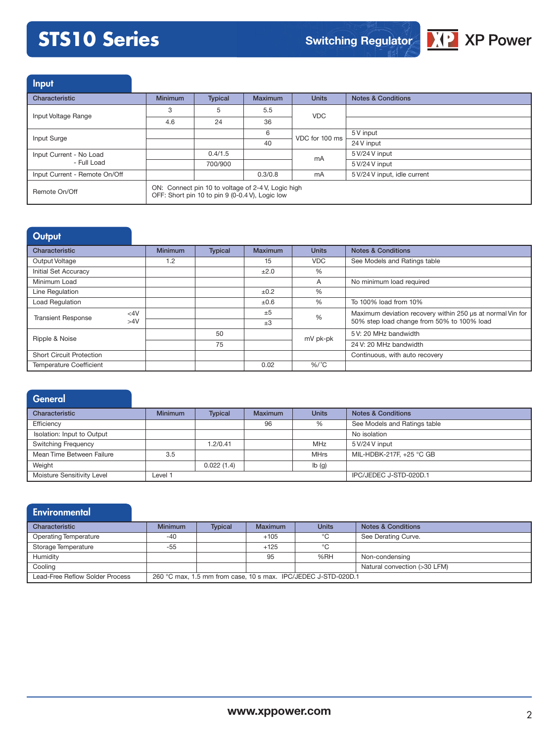

Input

| Characteristic                | <b>Minimum</b> | <b>Typical</b>                                                                                                                                                                                                                                                                                           | <b>Maximum</b> | <b>Units</b> | <b>Notes &amp; Conditions</b> |
|-------------------------------|----------------|----------------------------------------------------------------------------------------------------------------------------------------------------------------------------------------------------------------------------------------------------------------------------------------------------------|----------------|--------------|-------------------------------|
| Input Voltage Range           | 3              | 5                                                                                                                                                                                                                                                                                                        | 5.5            |              |                               |
|                               | 4.6            | <b>VDC</b><br>36<br>24<br>6<br>5 V input<br>VDC for 100 ms<br>40<br>24 V input<br>0.4/1.5<br>5 V/24 V input<br>mA<br>700/900<br>5 V/24 V input<br>0.3/0.8<br>5 V/24 V input, idle current<br>mA<br>ON: Connect pin 10 to voltage of 2-4 V, Logic high<br>OFF: Short pin 10 to pin 9 (0-0.4 V), Logic low |                |              |                               |
| Input Surge                   |                |                                                                                                                                                                                                                                                                                                          |                |              |                               |
|                               |                |                                                                                                                                                                                                                                                                                                          |                |              |                               |
| Input Current - No Load       |                |                                                                                                                                                                                                                                                                                                          |                |              |                               |
| - Full Load                   |                |                                                                                                                                                                                                                                                                                                          |                |              |                               |
| Input Current - Remote On/Off |                |                                                                                                                                                                                                                                                                                                          |                |              |                               |
| Remote On/Off                 |                |                                                                                                                                                                                                                                                                                                          |                |              |                               |

# **Output**

| Characteristic                  |     | <b>Minimum</b> | <b>Typical</b> | Maximum   | <b>Units</b> | <b>Notes &amp; Conditions</b>                              |
|---------------------------------|-----|----------------|----------------|-----------|--------------|------------------------------------------------------------|
| Output Voltage                  |     | 1.2            |                | 15        | <b>VDC</b>   | See Models and Ratings table                               |
| <b>Initial Set Accuracy</b>     |     |                |                | ±2.0      | $\%$         |                                                            |
| Minimum Load                    |     |                |                |           | A            | No minimum load required                                   |
| Line Regulation                 |     |                |                | ±0.2      | %            |                                                            |
| <b>Load Regulation</b>          |     |                |                | $\pm 0.6$ | $\%$         | To 100% load from 10%                                      |
| <b>Transient Response</b>       | <4V |                |                | ±5        | %            | Maximum deviation recovery within 250 us at normal Vin for |
|                                 | >4V |                |                | $\pm 3$   |              | 50% step load change from 50% to 100% load                 |
| Ripple & Noise                  |     |                | 50             |           | mV pk-pk     | 5 V: 20 MHz bandwidth                                      |
|                                 |     |                | 75             |           |              | 24 V: 20 MHz bandwidth                                     |
| <b>Short Circuit Protection</b> |     |                |                |           |              | Continuous, with auto recovery                             |
| <b>Temperature Coefficient</b>  |     |                |                | 0.02      | $%$ /°C      |                                                            |

| <b>General</b>             |                |                |                |              |                               |
|----------------------------|----------------|----------------|----------------|--------------|-------------------------------|
| Characteristic             | <b>Minimum</b> | <b>Typical</b> | <b>Maximum</b> | <b>Units</b> | <b>Notes &amp; Conditions</b> |
| Efficiency                 |                |                | 96             | %            | See Models and Ratings table  |
| Isolation: Input to Output |                |                |                |              | No isolation                  |
| <b>Switching Frequency</b> |                | 1.2/0.41       |                | MHz          | 5 V/24 V input                |
| Mean Time Between Failure  | 3.5            |                |                | <b>MHrs</b>  | MIL-HDBK-217F, +25 °C GB      |
| Weight                     |                | 0.022(1.4)     |                | Ib(g)        |                               |
| Moisture Sensitivity Level | Level 1        |                |                |              | IPC/JEDEC J-STD-020D.1        |

| Environmental                   |                |                |                |                                                                |                               |
|---------------------------------|----------------|----------------|----------------|----------------------------------------------------------------|-------------------------------|
| Characteristic                  | <b>Minimum</b> | <b>Typical</b> | <b>Maximum</b> | <b>Units</b>                                                   | <b>Notes &amp; Conditions</b> |
| <b>Operating Temperature</b>    | $-40$          |                | $+105$         | °C                                                             | See Derating Curve.           |
| Storage Temperature             | $-55$          |                | $+125$         | °C                                                             |                               |
| Humidity                        |                |                | 95             | %RH                                                            | Non-condensing                |
| Cooling                         |                |                |                |                                                                | Natural convection (>30 LFM)  |
| Lead-Free Reflow Solder Process |                |                |                | 260 °C max, 1.5 mm from case, 10 s max. IPC/JEDEC J-STD-020D.1 |                               |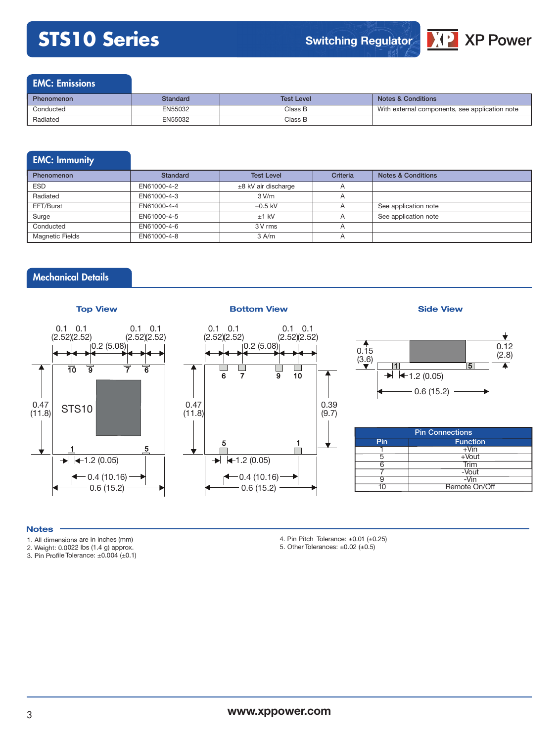

### EMC: Emissions

| <b>Phenomenon</b> | Standard | <b>Test Level</b> | <b>Notes &amp; Conditions</b>                  |
|-------------------|----------|-------------------|------------------------------------------------|
| Conducted         | EN55032  | Class B           | With external components, see application note |
| Radiated          | EN55032  | Class B           |                                                |

# EMC: Immunity

| <b>Phenomenon</b>      | Standard    | <b>Test Level</b>     | Criteria       | <b>Notes &amp; Conditions</b> |
|------------------------|-------------|-----------------------|----------------|-------------------------------|
| <b>ESD</b>             | EN61000-4-2 | $±8$ kV air discharge | $\overline{A}$ |                               |
| Radiated               | EN61000-4-3 | 3 V/m                 | $\overline{A}$ |                               |
| EFT/Burst              | EN61000-4-4 | $\pm 0.5$ kV          | $\overline{A}$ | See application note          |
| Surge                  | EN61000-4-5 | $±1$ kV               | $\overline{A}$ | See application note          |
| Conducted              | EN61000-4-6 | 3 V rms               | $\overline{A}$ |                               |
| <b>Magnetic Fields</b> | EN61000-4-8 | $3$ A/m               | $\overline{A}$ |                               |

# Mechanical Details



#### **Notes**

- 1. All dimensions are in inches (mm)
- 2. Weight: 0.0022 lbs (1.4 g) approx.

3. Pin Profile Tolerance: ±0.004 (±0.1)

- 4. Pin Pitch Tolerance:  $\pm 0.01$  ( $\pm 0.25$ )
- 5. Other Tolerances:  $\pm 0.02$  ( $\pm 0.5$ )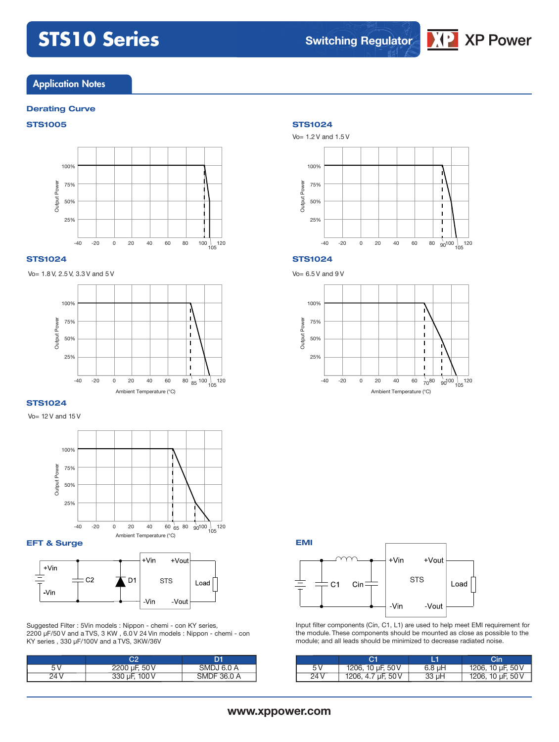

### **Application Notes**

#### **Derating Curve**

### **STS1005 STS1024**



#### **STS1024**

Vo= 1.8 V, 2.5 V, 3.3 V and 5 V



#### **STS1024**

Vo= 12 V and 15 V



**EFT & Surge**



Suggested Filter : 5Vin models : Nippon - chemi - con KY series, 2200 µF/50 V and a TVS, 3 KW , 6.0 V 24 Vin models : Nippon - chemi - con KY series , 330 µF/100V and a TVS, 3KW/36V

| 2200 µF, 50 V    | SMDJ 6.0 A  |
|------------------|-------------|
| uF. 100 V<br>ບບບ | SMDF 36.0 A |



#### **STS1024**

Vo= 6.5 V and 9 V



**EMI**



Input filter components (Cin, C1, L1) are used to help meet EMI requirement for the module. These components should be mounted as close as possible to the module; and all leads should be minimized to decrease radiated noise.

|      |                    |             | Cin               |
|------|--------------------|-------------|-------------------|
| 5V   | 1206, 10 µF, 50 V  | $6.8 \mu H$ | 1206, 10 µF, 50 V |
| 24 V | 1206, 4.7 µF, 50 V | $33 \mu H$  | 1206, 10 µF, 50 V |

## **www.xppower.com**